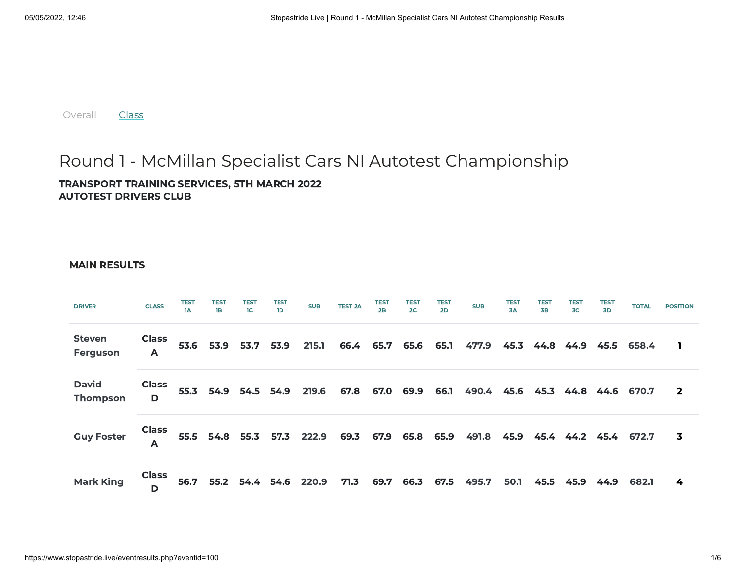[Overall](https://www.stopastride.live/eventresults.php?eventid=100) **[Class](https://www.stopastride.live/classresults.php?eventid=100)** 

## Round 1 - McMillan Specialist Cars NI Autotest Championship

TRANSPORT TRAINING SERVICES, 5TH MARCH 2022 AUTOTEST DRIVERS CLUB

## MAIN RESULTS

| <b>DRIVER</b>                   | <b>CLASS</b>      | <b>TEST</b><br>1A | <b>TEST</b><br>1B | <b>TEST</b><br>1C   | <b>TEST</b><br>1D   | <b>SUB</b>                | <b>TEST 2A</b> | <b>TEST</b><br>2B | <b>TEST</b><br>2 <sup>C</sup> | TEST<br>2D | <b>SUB</b>                      | <b>TEST</b><br>3A | <b>TEST</b><br><b>3B</b> | <b>TEST</b><br>3C | <b>TEST</b><br>3D | <b>TOTAL</b>    | <b>POSITION</b> |
|---------------------------------|-------------------|-------------------|-------------------|---------------------|---------------------|---------------------------|----------------|-------------------|-------------------------------|------------|---------------------------------|-------------------|--------------------------|-------------------|-------------------|-----------------|-----------------|
| <b>Steven</b><br>Ferguson       | <b>Class</b><br>A |                   |                   | 53.6 53.9 53.7 53.9 |                     | 215.1                     |                |                   | 66.4 65.7 65.6 65.1           |            | 477.9                           | 45.3              | 44.8                     |                   |                   | 44.9 45.5 658.4 |                 |
| <b>David</b><br><b>Thompson</b> | <b>Class</b><br>D |                   |                   |                     | 55.3 54.9 54.5 54.9 | 219.6                     | 67.8           | 67.0 69.9         |                               | 66.1       | 490.4 45.6 45.3 44.8 44.6 670.7 |                   |                          |                   |                   |                 | $\overline{2}$  |
| <b>Guy Foster</b>               | <b>Class</b><br>А |                   |                   |                     |                     | 55.5 54.8 55.3 57.3 222.9 |                |                   | 69.3 67.9 65.8 65.9           |            | 491.8 45.9 45.4 44.2 45.4 672.7 |                   |                          |                   |                   |                 | 3               |
| <b>Mark King</b>                | <b>Class</b><br>D | 56.7              |                   |                     |                     | 55.2 54.4 54.6 220.9      | 71.3           | 69.7              | 66.3                          | 67.5       | 495.7                           | 50.1              | 45.5                     | 45.9              | 44.9              | 682.1           | 4               |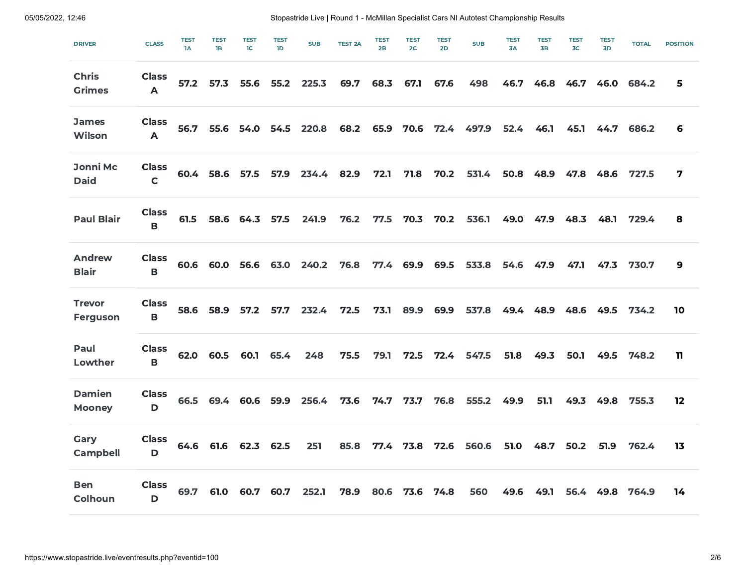| <b>DRIVER</b>                  | <b>CLASS</b>                     | <b>TEST</b><br>1A | <b>TEST</b><br>1B | <b>TEST</b><br>1C | <b>TEST</b><br>1D | <b>SUB</b> | <b>TEST 2A</b> | <b>TEST</b><br>2B | <b>TEST</b><br>2 <sub>C</sub> | <b>TEST</b><br>2D | <b>SUB</b> | <b>TEST</b><br>3A | <b>TEST</b><br><b>3B</b> | <b>TEST</b><br>3 <sub>C</sub> | <b>TEST</b><br>3D | <b>TOTAL</b> | <b>POSITION</b> |
|--------------------------------|----------------------------------|-------------------|-------------------|-------------------|-------------------|------------|----------------|-------------------|-------------------------------|-------------------|------------|-------------------|--------------------------|-------------------------------|-------------------|--------------|-----------------|
| <b>Chris</b><br><b>Grimes</b>  | <b>Class</b><br>$\mathsf{A}$     | 57.2              | 57.3              | 55.6              | 55.2              | 225.3      | 69.7           | 68.3              | 67.1                          | 67.6              | 498        | 46.7              | 46.8                     | 46.7                          | 46.0              | 684.2        | 5               |
| <b>James</b><br>Wilson         | <b>Class</b><br>$\blacktriangle$ | 56.7              | 55.6              | 54.0              | 54.5              | 220.8      | 68.2           | 65.9              | 70.6                          | 72.4              | 497.9      | 52.4              | 46.1                     | 45.1                          | 44.7              | 686.2        | 6               |
| <b>Jonni Mc</b><br><b>Daid</b> | <b>Class</b><br>$\mathsf{C}$     |                   | 60.4 58.6         | 57.5              | 57.9              | 234.4      | 82.9           | 72.1              | 71.8                          | 70.2              | 531.4      | 50.8              | 48.9                     | 47.8                          | 48.6              | 727.5        | 7               |
| <b>Paul Blair</b>              | <b>Class</b><br>$\mathbf B$      | 61.5              | 58.6              | 64.3              | 57.5              | 241.9      | 76.2           | 77.5              | 70.3                          | 70.2              | 536.1      | 49.0              | 47.9                     | 48.3                          | 48.1              | 729.4        | 8               |
| <b>Andrew</b><br><b>Blair</b>  | <b>Class</b><br>$\mathbf B$      |                   | 60.6 60.0         | 56.6              | 63.0              | 240.2      | 76.8           |                   | 77.4 69.9                     | 69.5              | 533.8      | 54.6              | 47.9                     | 47.1                          | 47.3              | 730.7        | 9               |
| <b>Trevor</b><br>Ferguson      | <b>Class</b><br>$\mathbf B$      | 58.6              | 58.9              | 57.2              | 57.7              | 232.4      | 72.5           | 73.1              | 89.9                          | 69.9              | 537.8      | 49.4              | 48.9                     | 48.6                          | 49.5              | 734.2        | 10              |
| Paul<br>Lowther                | <b>Class</b><br>$\mathbf B$      | 62.0              | 60.5              | 60.1              | 65.4              | 248        | 75.5           | 79.1              | 72.5                          | 72.4              | 547.5      | 51.8              | 49.3                     | 50.1                          | 49.5              | 748.2        | 11              |
| <b>Damien</b><br><b>Mooney</b> | <b>Class</b><br>D                | 66.5              | 69.4              | 60.6              | 59.9              | 256.4      | 73.6           | 74.7              | 73.7                          | 76.8              | 555.2      | 49.9              | 51.1                     | 49.3                          | 49.8              | 755.3        | 12              |
| Gary<br><b>Campbell</b>        | <b>Class</b><br>D                | 64.6              | 61.6              | 62.3              | 62.5              | 251        | 85.8           | 77.4              | 73.8                          | 72.6              | 560.6      | 51.0              | 48.7                     | 50.2                          | 51.9              | 762.4        | 13              |
| <b>Ben</b><br><b>Colhoun</b>   | <b>Class</b><br>D                | 69.7              | 61.0              | 60.7              | 60.7              | 252.1      | 78.9           | 80.6              | 73.6                          | 74.8              | 560        | 49.6              | 49.1                     | 56.4                          | 49.8              | 764.9        | 14              |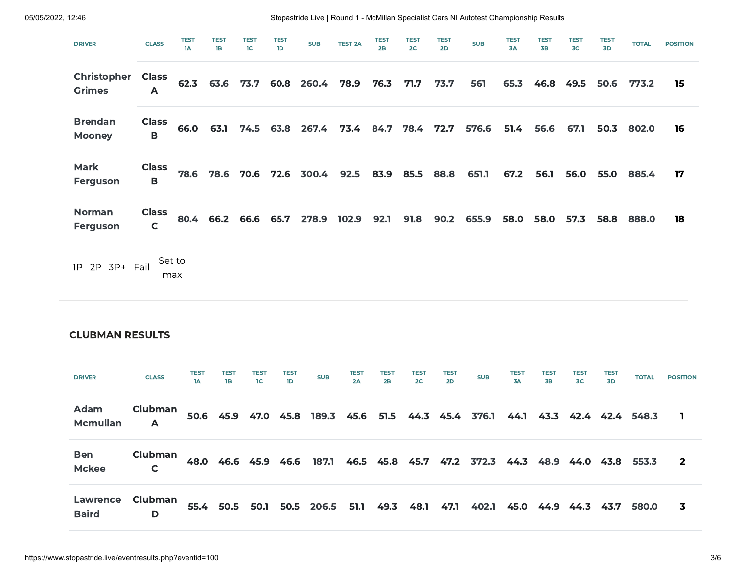| <b>DRIVER</b>                       | <b>CLASS</b>                 | <b>TEST</b><br>1A | <b>TEST</b><br>1B | <b>TEST</b><br>1C   | <b>TEST</b><br>1D | <b>SUB</b>      | <b>TEST 2A</b> | <b>TEST</b><br>2B | <b>TEST</b><br>2 <sub>C</sub> | <b>TEST</b><br>2D | <b>SUB</b> | <b>TEST</b><br>3A | <b>TEST</b><br><b>3B</b> | <b>TEST</b><br>3 <sub>C</sub> | <b>TEST</b><br>3D | <b>TOTAL</b> | <b>POSITION</b> |
|-------------------------------------|------------------------------|-------------------|-------------------|---------------------|-------------------|-----------------|----------------|-------------------|-------------------------------|-------------------|------------|-------------------|--------------------------|-------------------------------|-------------------|--------------|-----------------|
| <b>Christopher</b><br><b>Grimes</b> | <b>Class</b><br>A            |                   |                   | 62.3 63.6 73.7      |                   | 60.8 260.4      | 78.9           | 76.3              | 71.7                          | 73.7              | 561        | 65.3              | 46.8                     | 49.5                          | 50.6              | 773.2        | 15              |
| <b>Brendan</b><br><b>Mooney</b>     | <b>Class</b><br>B            | 66.0              | 63.1              |                     |                   | 74.5 63.8 267.4 | 73.4           |                   | 84.7 78.4                     | 72.7              | 576.6      | 51.4              | 56.6                     | 67.1                          | 50.3              | 802.0        | 16              |
| Mark<br>Ferguson                    | <b>Class</b><br>B            | 78.6              | 78.6              | 70.6                |                   | 72.6 300.4      | 92.5           |                   | 83.9 85.5                     | 88.8              | 651.1      | 67.2              | 56.1                     | 56.0                          | 55.0              | 885.4        | 17              |
| <b>Norman</b><br>Ferguson           | <b>Class</b><br>$\mathsf{C}$ |                   |                   | 80.4 66.2 66.6 65.7 |                   | 278.9           | 102.9          | 92.1              | 91.8                          | 90.2              | 655.9      | 58.0              | 58.0                     | 57.3                          | 58.8              | 888.0        | 18              |
| 1P 2P 3P+ Fail                      |                              | Set to<br>max     |                   |                     |                   |                 |                |                   |                               |                   |            |                   |                          |                               |                   |              |                 |

## CLUBMAN RESULTS

| <b>DRIVER</b>              | <b>CLASS</b> | <b>TEST</b><br>1A | <b>TEST</b><br><b>1B</b> | TEST<br>1C | TEST<br>1D | <b>SUB</b>                | <b>TEST</b><br>2A | TEST<br>2B     | TES1<br>2C | <b>TEST</b><br>2D | <b>SUB</b>                                          | <b>TES1</b><br>3A | TEST<br><b>3B</b> | TEST<br>3C | TEST<br>3D | <b>TOTAL</b>    | <b>POSITION</b> |
|----------------------------|--------------|-------------------|--------------------------|------------|------------|---------------------------|-------------------|----------------|------------|-------------------|-----------------------------------------------------|-------------------|-------------------|------------|------------|-----------------|-----------------|
| Adam<br><b>Mcmullan</b>    | Clubman<br>A |                   |                          |            |            |                           |                   |                |            |                   | 50.6 45.9 47.0 45.8 189.3 45.6 51.5 44.3 45.4 376.1 | 44.1              | 43.3              |            |            | 42.4 42.4 548.3 |                 |
| <b>Ben</b><br><b>Mckee</b> | Clubman<br>C |                   | 48.0 46.6 45.9 46.6      |            |            | 187.1                     |                   | 46.5 45.8 45.7 |            |                   | 47.2 372.3 44.3                                     |                   | 48.9              | 44.0       | 43.8       | 553.3           | $\overline{2}$  |
| Lawrence<br><b>Baird</b>   | Clubman<br>D |                   |                          |            |            | 55.4 50.5 50.1 50.5 206.5 | 51.1              | 49.3           | 48.1       | 47.1              | 402.1                                               | 45.0              | 44.9              | 44.3       | 43.7       | 580.0           | 3               |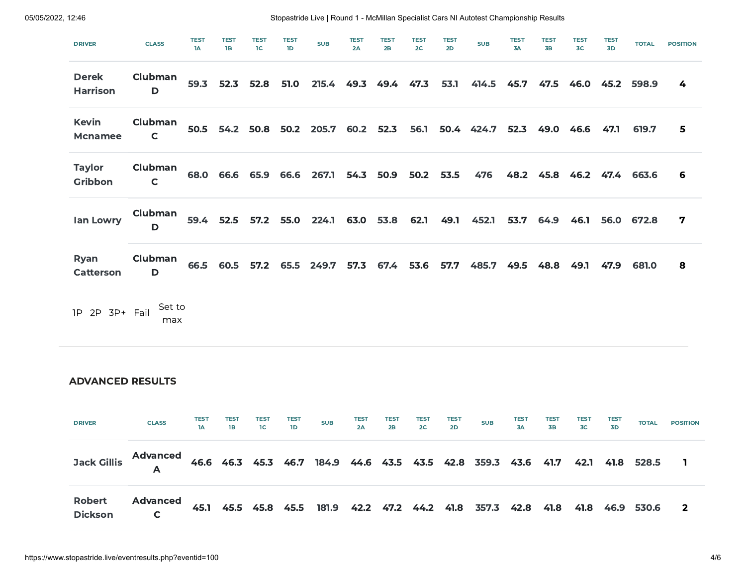| <b>DRIVER</b>                   | <b>CLASS</b>            | <b>TEST</b><br>1A | TEST<br>1B | <b>TEST</b><br>1 <sup>C</sup> | <b>TEST</b><br>1D | <b>SUB</b>                          | <b>TEST</b><br>2A | <b>TEST</b><br>2B | TEST<br>2 <sup>C</sup> | <b>TEST</b><br>2D | <b>SUB</b>      | <b>TEST</b><br>3A | <b>TEST</b><br><b>3B</b> | <b>TEST</b><br>3 <sub>C</sub> | <b>TEST</b><br>3D | <b>TOTAL</b>    | <b>POSITION</b>         |
|---------------------------------|-------------------------|-------------------|------------|-------------------------------|-------------------|-------------------------------------|-------------------|-------------------|------------------------|-------------------|-----------------|-------------------|--------------------------|-------------------------------|-------------------|-----------------|-------------------------|
| <b>Derek</b><br><b>Harrison</b> | Clubman<br>D            |                   | 59.3 52.3  | 52.8                          | 51.0              |                                     |                   | 215.4 49.3 49.4   | 47.3                   | 53.1              | 414.5           | 45.7              | 47.5                     |                               | 46.0 45.2         | 598.9           | 4                       |
| <b>Kevin</b><br><b>Mcnamee</b>  | Clubman<br>$\mathsf{C}$ |                   |            |                               |                   | 50.5 54.2 50.8 50.2 205.7 60.2 52.3 |                   |                   | 56.1                   |                   | 50.4 424.7 52.3 |                   |                          | 49.0 46.6                     | 47.1              | 619.7           | 5                       |
| <b>Taylor</b><br>Gribbon        | Clubman<br>$\mathsf{C}$ |                   |            | 68.0 66.6 65.9                |                   | 66.6 267.1 54.3 50.9                |                   |                   |                        | 50.2 53.5         | 476             |                   | 48.2 45.8                |                               |                   | 46.2 47.4 663.6 | 6                       |
| lan Lowry                       | Clubman<br>D            |                   | 59.4 52.5  | 57.2                          | 55.0              | 224.1 63.0 53.8                     |                   |                   | 62.1                   | 49.1              | 452.1           | 53.7              | 64.9                     | 46.1                          | 56.0              | 672.8           | $\overline{\mathbf{7}}$ |
| Ryan<br><b>Catterson</b>        | Clubman<br>D            |                   | 66.5 60.5  |                               |                   | 57.2 65.5 249.7 57.3                |                   | 67.4              | 53.6                   | 57.7              | 485.7           | 49.5              | 48.8                     | 49.1                          | 47.9              | 681.0           | 8                       |
| 1P 2P 3P+ Fail                  | Set to<br>max           |                   |            |                               |                   |                                     |                   |                   |                        |                   |                 |                   |                          |                               |                   |                 |                         |
|                                 |                         |                   |            |                               |                   |                                     |                   |                   |                        |                   |                 |                   |                          |                               |                   |                 |                         |

## ADVANCED RESULTS

| <b>DRIVER</b>             | <b>CLASS</b>         | <b>TEST</b><br>1A | TEST<br>18 | <b>TEST</b><br>$\overline{1}$ | TEST<br>1D | <b>SUB</b> | <b>TEST</b><br>2A | TEST<br>2B | TEST<br>2C | TEST<br>2D | <b>SUB</b>                                                                      | TEST<br>3A | TEST<br>3B | TEST<br>$rac{1}{3C}$ | <b>TEST</b><br>3D | <b>TOTAL</b> | <b>POSITION</b> |
|---------------------------|----------------------|-------------------|------------|-------------------------------|------------|------------|-------------------|------------|------------|------------|---------------------------------------------------------------------------------|------------|------------|----------------------|-------------------|--------------|-----------------|
|                           | Jack Gillis<br>A     |                   |            |                               |            |            |                   |            |            |            | 46.6 46.3 45.3 46.7 184.9 44.6 43.5 43.5 42.8 359.3 43.6 41.7 42.1 41.8 528.5   |            |            |                      |                   |              |                 |
| <b>Robert<br/>Dickson</b> | <b>Advanced</b><br>C |                   |            |                               |            |            |                   |            |            |            | 45.1 45.5 45.8 45.5 181.9 42.2 47.2 44.2 41.8 357.3 42.8 41.8 41.8 46.9 530.6 2 |            |            |                      |                   |              |                 |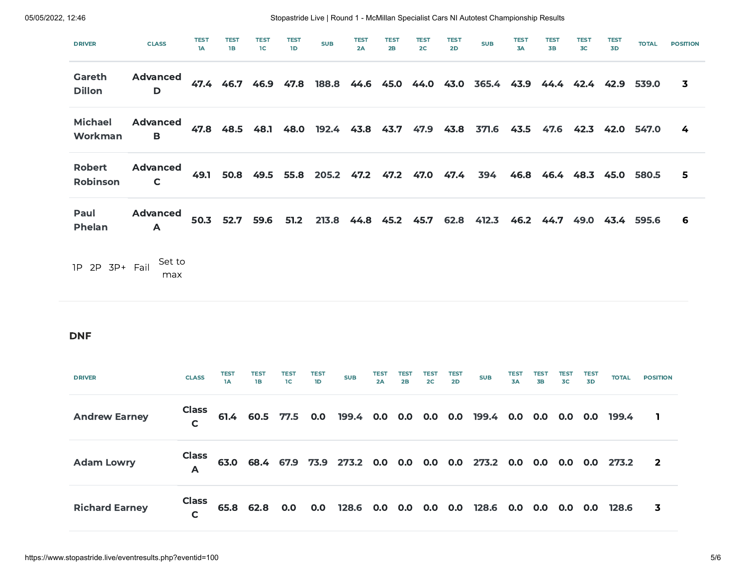| <b>DRIVER</b>                    | <b>CLASS</b>                    | <b>TEST</b><br>1A            | <b>TEST</b><br><b>1B</b> | <b>TEST</b><br>1C        | <b>TEST</b><br>1D | <b>SUB</b>        | <b>TEST</b><br>2A         | <b>TEST</b><br>2B |                   | <b>TEST</b><br>2C             | <b>TEST</b><br>2D | <b>SUB</b>                                             | <b>TEST</b><br>3A | <b>TEST</b><br><b>3B</b> |                   | <b>TEST</b><br>3 <sub>C</sub> | <b>TEST</b><br>3D   | <b>TOTAL</b>    | <b>POSITION</b>         |
|----------------------------------|---------------------------------|------------------------------|--------------------------|--------------------------|-------------------|-------------------|---------------------------|-------------------|-------------------|-------------------------------|-------------------|--------------------------------------------------------|-------------------|--------------------------|-------------------|-------------------------------|---------------------|-----------------|-------------------------|
| Gareth<br><b>Dillon</b>          | <b>Advanced</b><br>$\mathbf D$  |                              |                          | 47.4 46.7 46.9           | 47.8              |                   |                           |                   |                   |                               |                   | 188.8 44.6 45.0 44.0 43.0 365.4 43.9 44.4 42.4 42.9    |                   |                          |                   |                               |                     | 539.0           | $\overline{\mathbf{3}}$ |
| <b>Michael</b><br>Workman        | <b>Advanced</b><br>B            | 47.8                         | 48.5                     | 48.1                     |                   |                   | 48.0 192.4 43.8 43.7 47.9 |                   |                   |                               | 43.8              | 371.6                                                  | 43.5              | 47.6                     |                   | 42.3                          | 42.0 547.0          |                 | 4                       |
| <b>Robert</b><br><b>Robinson</b> | <b>Advanced</b><br>$\mathsf{C}$ | 49.1                         |                          | 50.8 49.5                |                   |                   | 55.8 205.2 47.2 47.2 47.0 |                   |                   |                               | 47.4              | 394                                                    |                   |                          |                   |                               | 46.8 46.4 48.3 45.0 | 580.5           | 5                       |
| Paul<br><b>Phelan</b>            | <b>Advanced</b><br>A            | 50.3                         | 52.7                     | 59.6                     | 51.2              | 213.8             |                           | 44.8 45.2 45.7    |                   |                               | 62.8              | 412.3                                                  |                   |                          |                   |                               | 46.2 44.7 49.0 43.4 | 595.6           | 6                       |
| 1P 2P 3P+ Fail                   | Set to<br>max                   |                              |                          |                          |                   |                   |                           |                   |                   |                               |                   |                                                        |                   |                          |                   |                               |                     |                 |                         |
| <b>DNF</b>                       |                                 |                              |                          |                          |                   |                   |                           |                   |                   |                               |                   |                                                        |                   |                          |                   |                               |                     |                 |                         |
| <b>DRIVER</b>                    |                                 | <b>CLASS</b>                 | <b>TEST</b><br>1A        | <b>TEST</b><br><b>1B</b> | <b>TEST</b><br>1C | <b>TEST</b><br>1D | <b>SUB</b>                | <b>TEST</b><br>2A | <b>TEST</b><br>2B | <b>TEST</b><br>2 <sup>C</sup> | <b>TEST</b><br>2D | <b>SUB</b>                                             | <b>TEST</b><br>3A | <b>TEST</b><br>3В        | <b>TEST</b><br>3C | <b>TEST</b><br>3D             | <b>TOTAL</b>        | <b>POSITION</b> |                         |
| <b>Andrew Earney</b>             |                                 | <b>Class</b><br>$\mathsf{C}$ |                          | 61.4 60.5                | 77.5              | 0.0               | 199.4 0.0                 |                   | 0.0               | 0.0                           | 0.0               | 199.4                                                  | 0.0 <sub>1</sub>  | 0.0 <sub>1</sub>         | 0.0               | 0.0 <sub>1</sub>              | 199.4               | $\mathbf{I}$    |                         |
| <b>Adam Lowry</b>                |                                 | <b>Class</b><br>A            |                          | 63.0 68.4 67.9           |                   |                   |                           |                   |                   |                               |                   | 73.9 273.2 0.0 0.0 0.0 0.0 273.2 0.0 0.0 0.0 0.0 273.2 |                   |                          |                   |                               |                     | $\overline{2}$  |                         |
| <b>Richard Earney</b>            |                                 | <b>Class</b><br>$\mathsf{C}$ |                          | 65.8 62.8                | 0.0               | 0.0               | 128.6                     | 0.0               |                   |                               |                   | $0.0$ $0.0$ $0.0$ $128.6$                              | 0.0 0.0 0.0 0.0   |                          |                   |                               | 128.6               | 3               |                         |